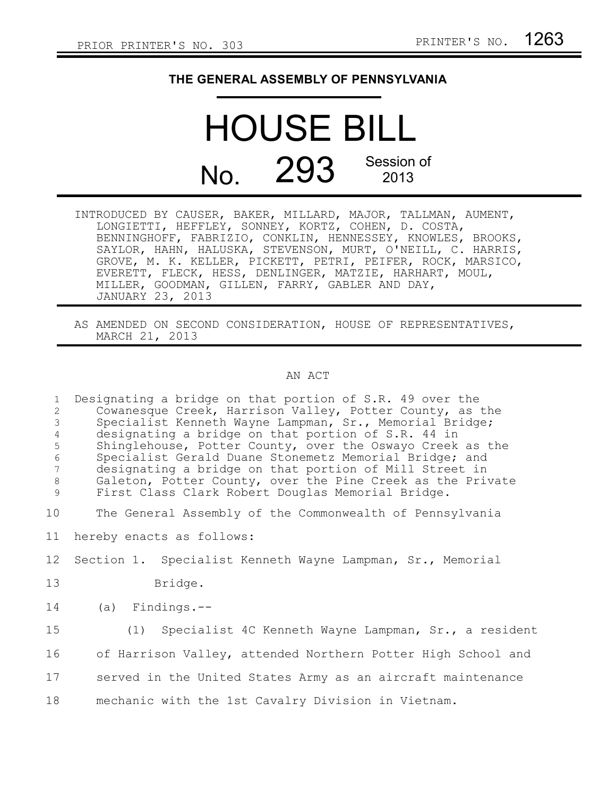## **THE GENERAL ASSEMBLY OF PENNSYLVANIA**

## HOUSE BILL No. 293 Session of 2013

- INTRODUCED BY CAUSER, BAKER, MILLARD, MAJOR, TALLMAN, AUMENT, LONGIETTI, HEFFLEY, SONNEY, KORTZ, COHEN, D. COSTA, BENNINGHOFF, FABRIZIO, CONKLIN, HENNESSEY, KNOWLES, BROOKS, SAYLOR, HAHN, HALUSKA, STEVENSON, MURT, O'NEILL, C. HARRIS, GROVE, M. K. KELLER, PICKETT, PETRI, PEIFER, ROCK, MARSICO, EVERETT, FLECK, HESS, DENLINGER, MATZIE, HARHART, MOUL, MILLER, GOODMAN, GILLEN, FARRY, GABLER AND DAY, JANUARY 23, 2013
- AS AMENDED ON SECOND CONSIDERATION, HOUSE OF REPRESENTATIVES, MARCH 21, 2013

## AN ACT

| $\mathbf{1}$<br>$\overline{2}$<br>3<br>$\overline{4}$<br>5<br>$\epsilon$<br>7<br>$\,8\,$<br>$\mathcal{G}$ | Designating a bridge on that portion of S.R. 49 over the<br>Cowanesque Creek, Harrison Valley, Potter County, as the<br>Specialist Kenneth Wayne Lampman, Sr., Memorial Bridge;<br>designating a bridge on that portion of S.R. 44 in<br>Shinglehouse, Potter County, over the Oswayo Creek as the<br>Specialist Gerald Duane Stonemetz Memorial Bridge; and<br>designating a bridge on that portion of Mill Street in<br>Galeton, Potter County, over the Pine Creek as the Private<br>First Class Clark Robert Douglas Memorial Bridge. |
|-----------------------------------------------------------------------------------------------------------|-------------------------------------------------------------------------------------------------------------------------------------------------------------------------------------------------------------------------------------------------------------------------------------------------------------------------------------------------------------------------------------------------------------------------------------------------------------------------------------------------------------------------------------------|
| 10 <sub>o</sub>                                                                                           | The General Assembly of the Commonwealth of Pennsylvania                                                                                                                                                                                                                                                                                                                                                                                                                                                                                  |
| 11                                                                                                        | hereby enacts as follows:                                                                                                                                                                                                                                                                                                                                                                                                                                                                                                                 |
| 12 <sup>°</sup>                                                                                           | Section 1. Specialist Kenneth Wayne Lampman, Sr., Memorial                                                                                                                                                                                                                                                                                                                                                                                                                                                                                |
| 13                                                                                                        | Bridge.                                                                                                                                                                                                                                                                                                                                                                                                                                                                                                                                   |
| 14                                                                                                        | $(a)$ Findings.--                                                                                                                                                                                                                                                                                                                                                                                                                                                                                                                         |
| 15                                                                                                        | (1) Specialist 4C Kenneth Wayne Lampman, Sr., a resident                                                                                                                                                                                                                                                                                                                                                                                                                                                                                  |
| 16                                                                                                        | of Harrison Valley, attended Northern Potter High School and                                                                                                                                                                                                                                                                                                                                                                                                                                                                              |
| 17                                                                                                        | served in the United States Army as an aircraft maintenance                                                                                                                                                                                                                                                                                                                                                                                                                                                                               |
| 18                                                                                                        | mechanic with the 1st Cavalry Division in Vietnam.                                                                                                                                                                                                                                                                                                                                                                                                                                                                                        |
|                                                                                                           |                                                                                                                                                                                                                                                                                                                                                                                                                                                                                                                                           |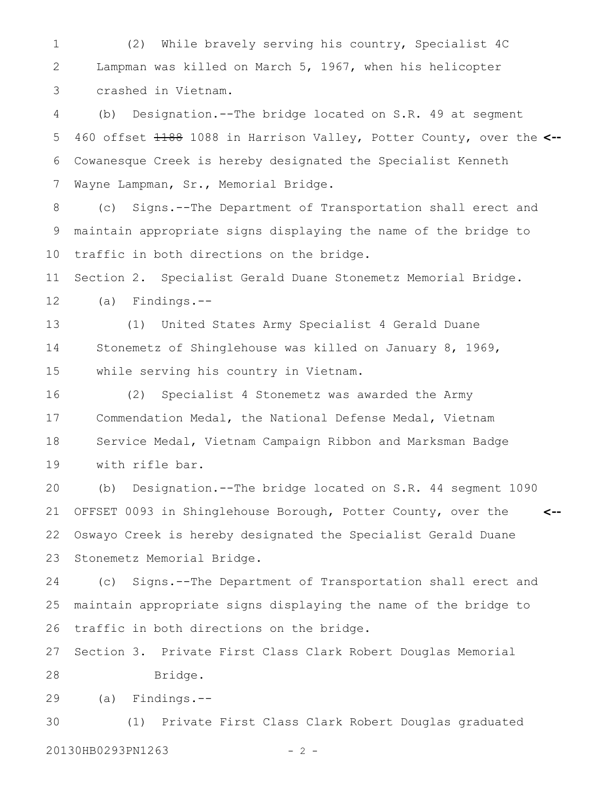(2) While bravely serving his country, Specialist 4C Lampman was killed on March 5, 1967, when his helicopter crashed in Vietnam. 1 2 3

(b) Designation.--The bridge located on S.R. 49 at segment 460 offset 1188 1088 in Harrison Valley, Potter County, over the **<--** Cowanesque Creek is hereby designated the Specialist Kenneth Wayne Lampman, Sr., Memorial Bridge. 4 5 6 7

(c) Signs.--The Department of Transportation shall erect and maintain appropriate signs displaying the name of the bridge to traffic in both directions on the bridge. 8 9 10

Section 2. Specialist Gerald Duane Stonemetz Memorial Bridge. 11

(a) Findings.-- 12

(1) United States Army Specialist 4 Gerald Duane Stonemetz of Shinglehouse was killed on January 8, 1969, while serving his country in Vietnam. 13 14 15

(2) Specialist 4 Stonemetz was awarded the Army Commendation Medal, the National Defense Medal, Vietnam Service Medal, Vietnam Campaign Ribbon and Marksman Badge with rifle bar. 16 17 18 19

(b) Designation.--The bridge located on S.R. 44 segment 1090 OFFSET 0093 in Shinglehouse Borough, Potter County, over the Oswayo Creek is hereby designated the Specialist Gerald Duane Stonemetz Memorial Bridge. **<--** 20 21 22 23

(c) Signs.--The Department of Transportation shall erect and maintain appropriate signs displaying the name of the bridge to traffic in both directions on the bridge. 24 25 26

Section 3. Private First Class Clark Robert Douglas Memorial 27

Bridge. 28

(a) Findings.-- 29

(1) Private First Class Clark Robert Douglas graduated 20130HB0293PN1263 - 2 -30